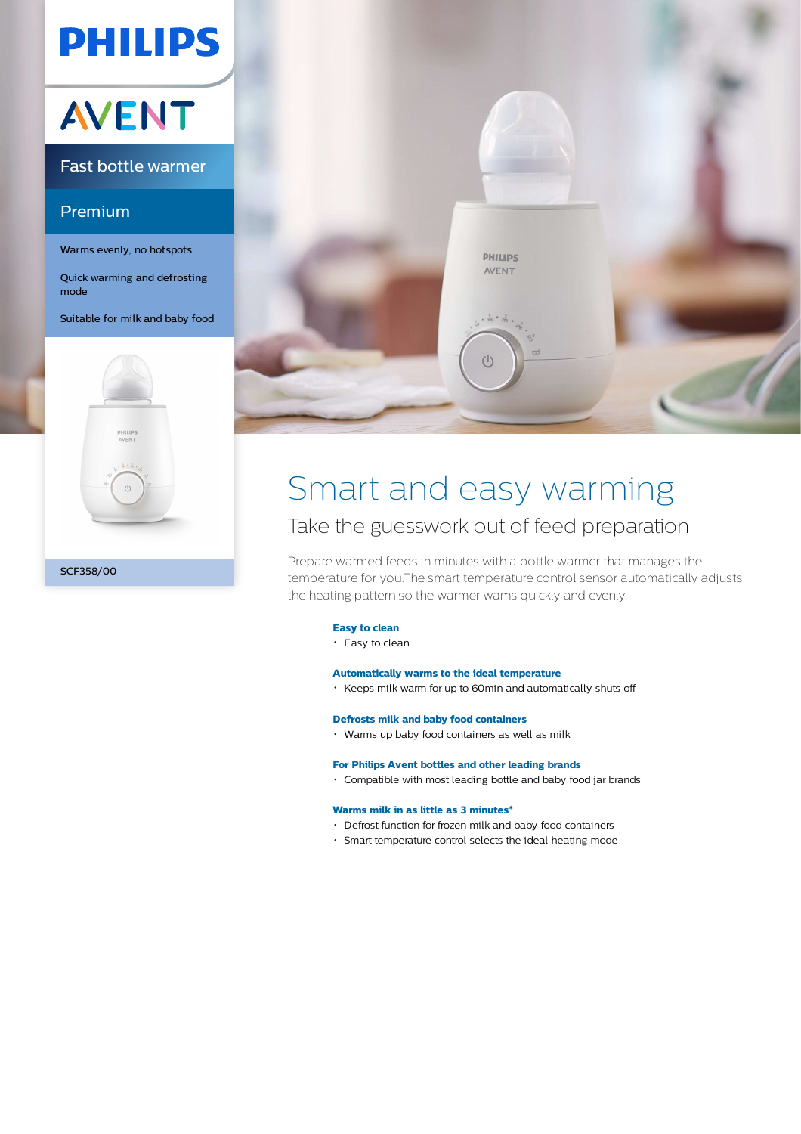## **PHILIPS**

# **AVENT**

### Fast bottle warmer

### Premium

Warms evenly, no hotspots

Quick warming and defrosting mode

Suitable for milk and baby food





## Smart and easy warming

### Take the guesswork out of feed preparation

Prepare warmed feeds in minutes with a bottle warmer that manages the temperature for you.The smart temperature control sensor automatically adjusts the heating pattern so the warmer wams quickly and evenly.

#### **Easy to clean**

 $\cdot$  Easy to clean

#### **Automatically warms to the ideal temperature**

Keeps milk warm for up to 60min and automatically shuts off

#### **Defrosts milk and baby food containers**

Warms up baby food containers as well as milk

#### **For Philips Avent bottles and other leading brands**

Compatible with most leading bottle and baby food jar brands

#### **Warms milk in as little as 3 minutes\***

- Defrost function for frozen milk and baby food containers
- Smart temperature control selects the ideal heating mode